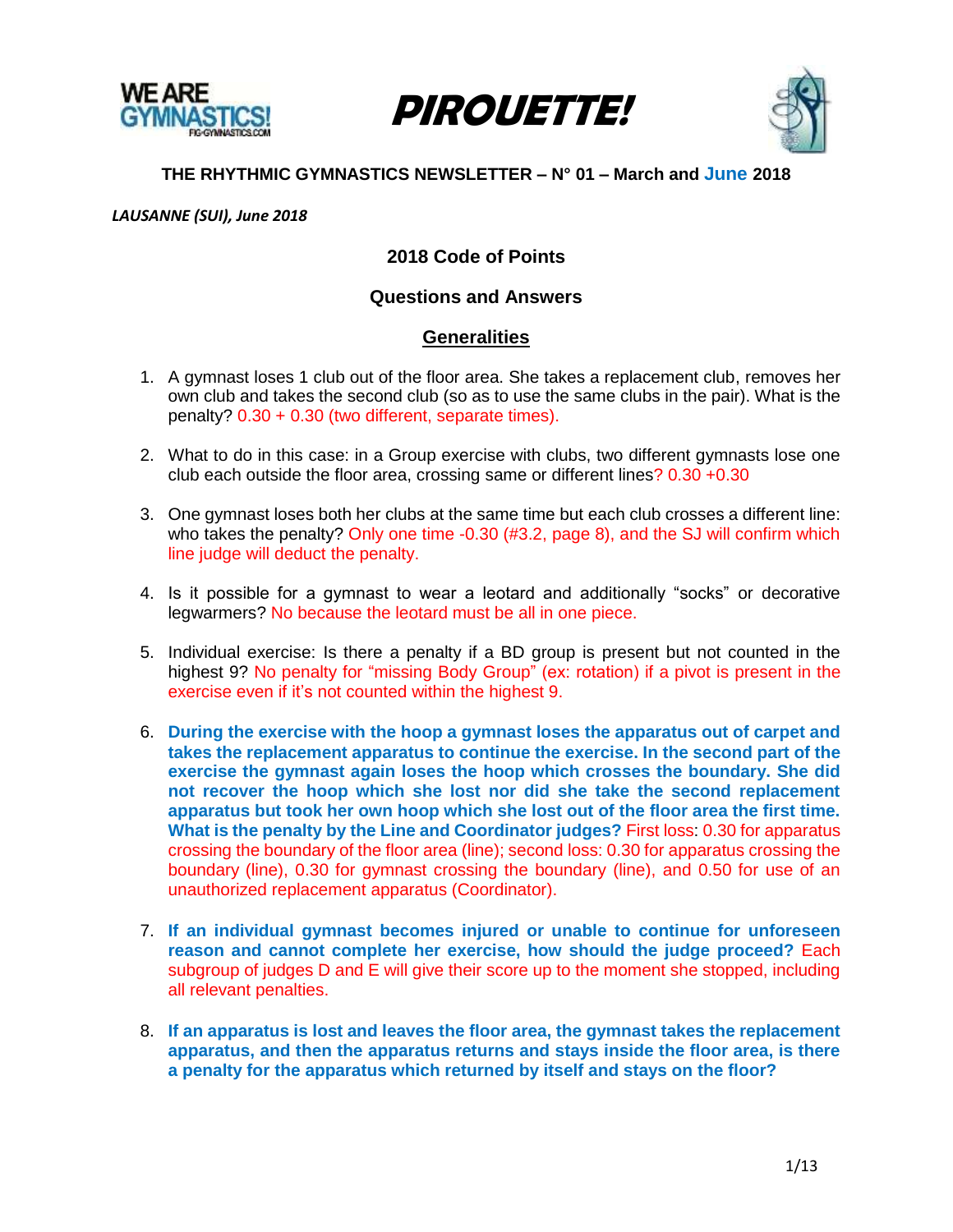





*LAUSANNE (SUI), June 2018*

# **2018 Code of Points**

#### **Questions and Answers**

## **Generalities**

- 1. A gymnast loses 1 club out of the floor area. She takes a replacement club, removes her own club and takes the second club (so as to use the same clubs in the pair). What is the penalty?  $0.30 + 0.30$  (two different, separate times).
- 2. What to do in this case: in a Group exercise with clubs, two different gymnasts lose one club each outside the floor area, crossing same or different lines? 0.30 +0.30
- 3. One gymnast loses both her clubs at the same time but each club crosses a different line: who takes the penalty? Only one time -0.30 (#3.2, page 8), and the SJ will confirm which line judge will deduct the penalty.
- 4. Is it possible for a gymnast to wear a leotard and additionally "socks" or decorative legwarmers? No because the leotard must be all in one piece.
- 5. Individual exercise: Is there a penalty if a BD group is present but not counted in the highest 9? No penalty for "missing Body Group" (ex: rotation) if a pivot is present in the exercise even if it's not counted within the highest 9.
- 6. **During the exercise with the hoop a gymnast loses the apparatus out of carpet and takes the replacement apparatus to continue the exercise. In the second part of the exercise the gymnast again loses the hoop which crosses the boundary. She did not recover the hoop which she lost nor did she take the second replacement apparatus but took her own hoop which she lost out of the floor area the first time. What is the penalty by the Line and Coordinator judges?** First loss: 0.30 for apparatus crossing the boundary of the floor area (line); second loss: 0.30 for apparatus crossing the boundary (line), 0.30 for gymnast crossing the boundary (line), and 0.50 for use of an unauthorized replacement apparatus (Coordinator).
- 7. **If an individual gymnast becomes injured or unable to continue for unforeseen reason and cannot complete her exercise, how should the judge proceed?** Each subgroup of judges D and E will give their score up to the moment she stopped, including all relevant penalties.
- 8. **If an apparatus is lost and leaves the floor area, the gymnast takes the replacement apparatus, and then the apparatus returns and stays inside the floor area, is there a penalty for the apparatus which returned by itself and stays on the floor?**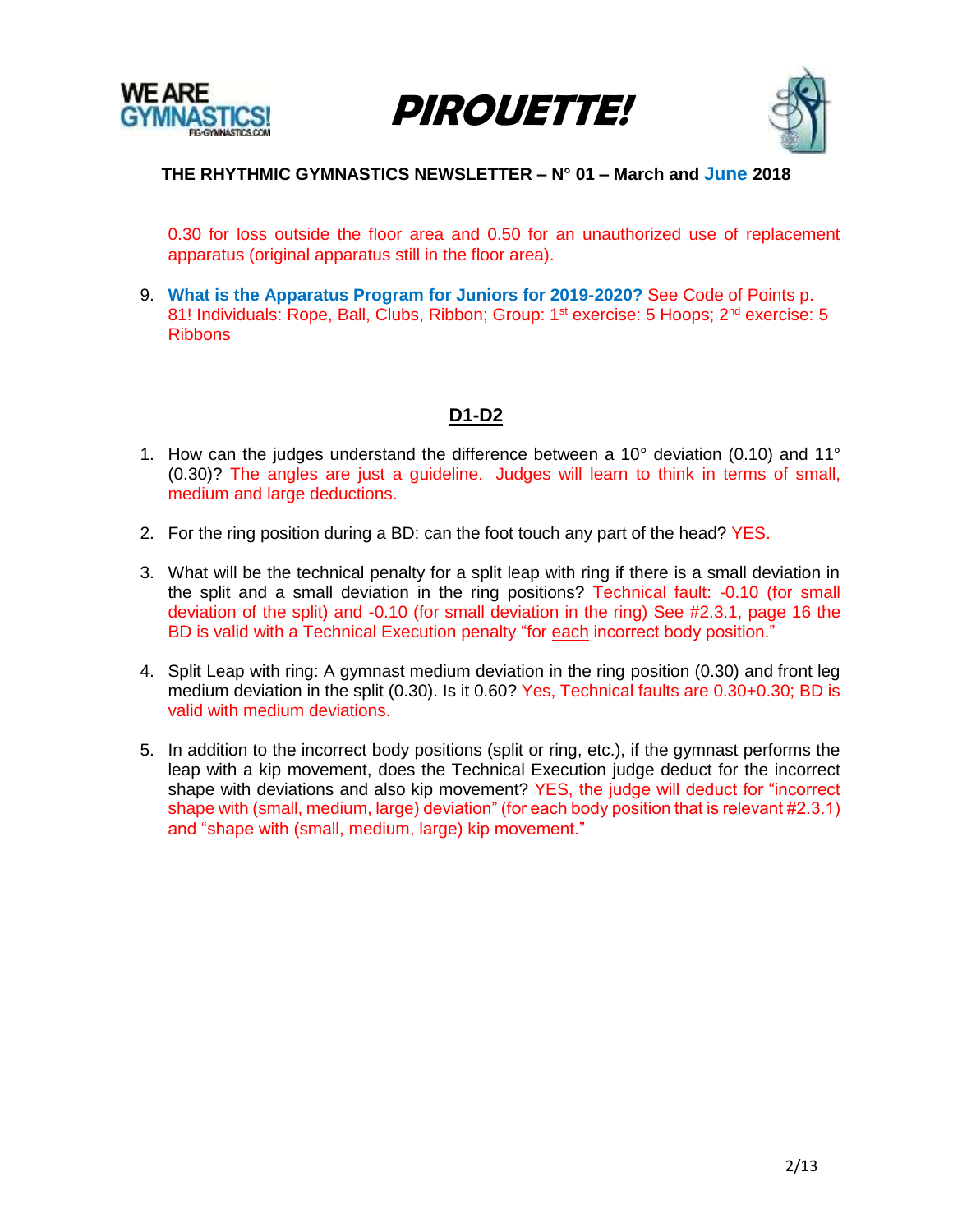





0.30 for loss outside the floor area and 0.50 for an unauthorized use of replacement apparatus (original apparatus still in the floor area).

9. **What is the Apparatus Program for Juniors for 2019-2020?** See Code of Points p. 81! Individuals: Rope, Ball, Clubs, Ribbon; Group: 1<sup>st</sup> exercise: 5 Hoops; 2<sup>nd</sup> exercise: 5 Ribbons

## **D1-D2**

- 1. How can the judges understand the difference between a 10° deviation (0.10) and 11° (0.30)? The angles are just a guideline. Judges will learn to think in terms of small, medium and large deductions.
- 2. For the ring position during a BD: can the foot touch any part of the head? YES.
- 3. What will be the technical penalty for a split leap with ring if there is a small deviation in the split and a small deviation in the ring positions? Technical fault: -0.10 (for small deviation of the split) and -0.10 (for small deviation in the ring) See #2.3.1, page 16 the BD is valid with a Technical Execution penalty "for each incorrect body position."
- 4. Split Leap with ring: A gymnast medium deviation in the ring position (0.30) and front leg medium deviation in the split (0.30). Is it 0.60? Yes, Technical faults are 0.30+0.30; BD is valid with medium deviations.
- 5. In addition to the incorrect body positions (split or ring, etc.), if the gymnast performs the leap with a kip movement, does the Technical Execution judge deduct for the incorrect shape with deviations and also kip movement? YES, the judge will deduct for "incorrect shape with (small, medium, large) deviation" (for each body position that is relevant #2.3.1) and "shape with (small, medium, large) kip movement."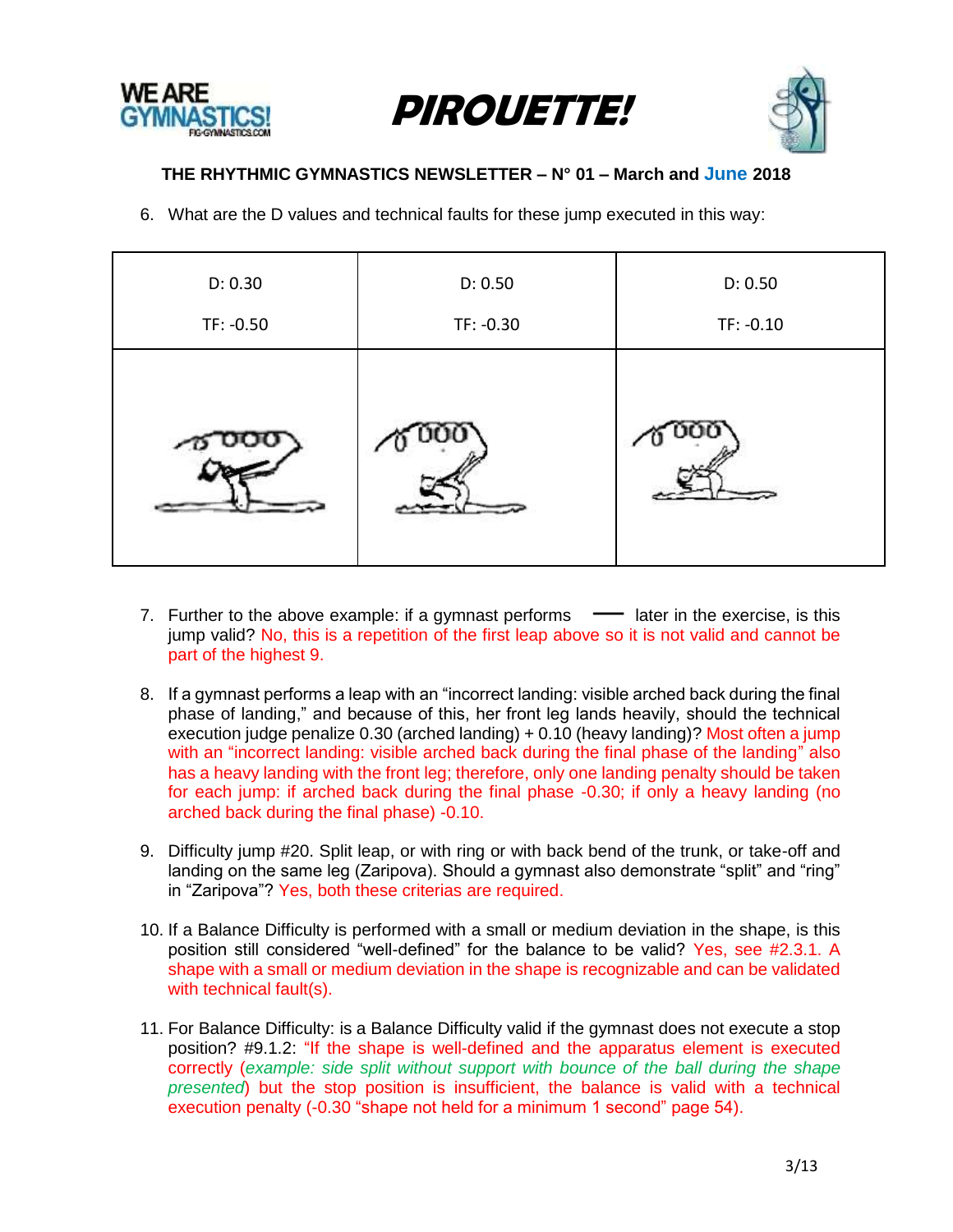





6. What are the D values and technical faults for these jump executed in this way:

| D: 0.30   | D: 0.50   | D: 0.50      |
|-----------|-----------|--------------|
| TF: -0.50 | TF: -0.30 | $TF: -0.10$  |
| $\sim$    | yón       | $\alpha$ and |

- 7. Further to the above example: if a gymnast performs  $\longrightarrow$  later in the exercise, is this jump valid? No, this is a repetition of the first leap above so it is not valid and cannot be part of the highest 9.
- 8. If a gymnast performs a leap with an "incorrect landing: visible arched back during the final phase of landing," and because of this, her front leg lands heavily, should the technical execution judge penalize 0.30 (arched landing) + 0.10 (heavy landing)? Most often a jump with an "incorrect landing: visible arched back during the final phase of the landing" also has a heavy landing with the front leg; therefore, only one landing penalty should be taken for each jump: if arched back during the final phase -0.30; if only a heavy landing (no arched back during the final phase) -0.10.
- 9. Difficulty jump #20. Split leap, or with ring or with back bend of the trunk, or take-off and landing on the same leg (Zaripova). Should a gymnast also demonstrate "split" and "ring" in "Zaripova"? Yes, both these criterias are required.
- 10. If a Balance Difficulty is performed with a small or medium deviation in the shape, is this position still considered "well-defined" for the balance to be valid? Yes, see #2.3.1. A shape with a small or medium deviation in the shape is recognizable and can be validated with technical fault(s).
- 11. For Balance Difficulty: is a Balance Difficulty valid if the gymnast does not execute a stop position? #9.1.2: "If the shape is well-defined and the apparatus element is executed correctly (*example: side split without support with bounce of the ball during the shape presented*) but the stop position is insufficient, the balance is valid with a technical execution penalty (-0.30 "shape not held for a minimum 1 second" page 54).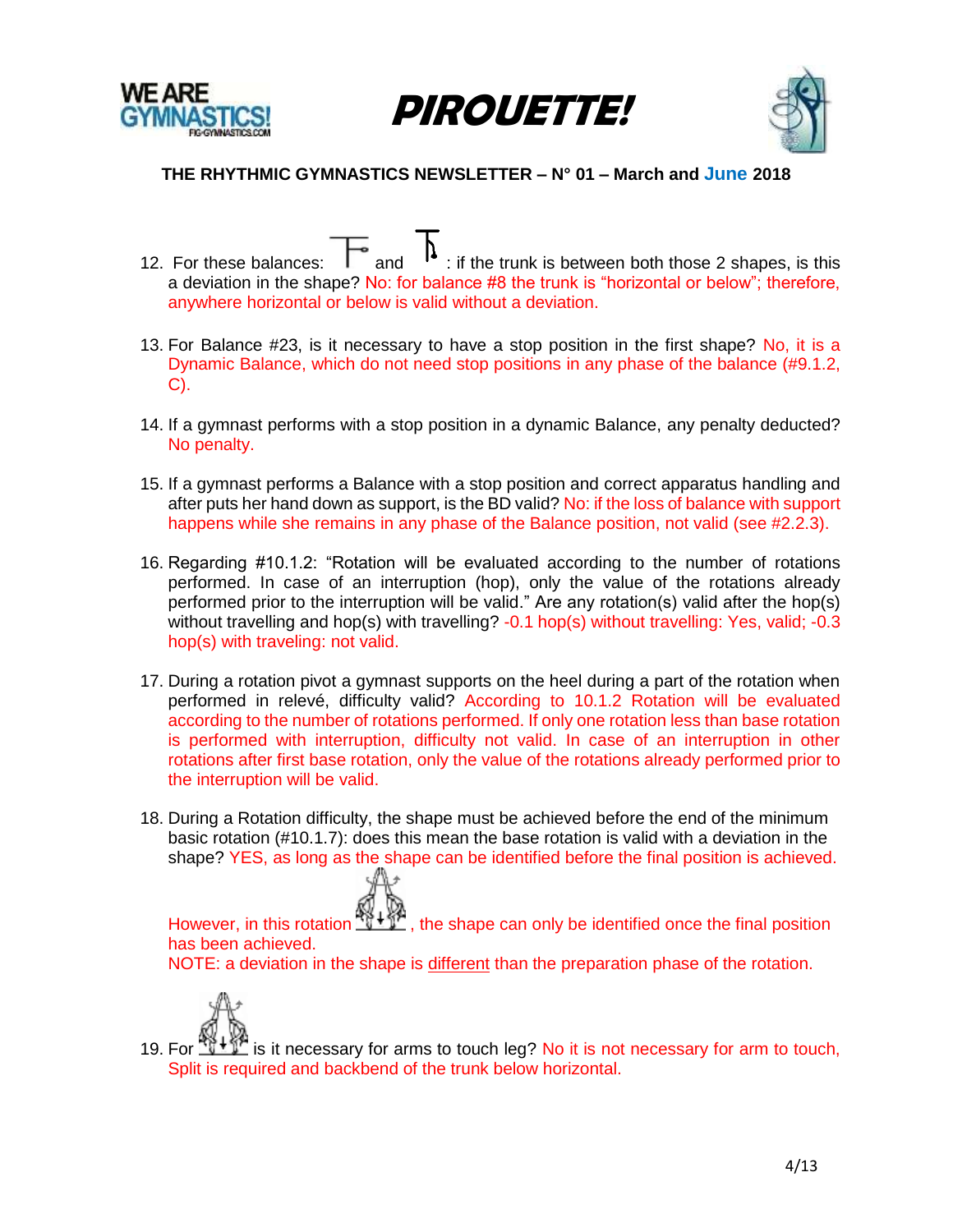





- 12. For these balances:  $\overline{\phantom{a}}$  and  $\phantom{a}$  : if the trunk is between both those 2 shapes, is this a deviation in the shape? No: for balance #8 the trunk is "horizontal or below"; therefore, anywhere horizontal or below is valid without a deviation.
- 13. For Balance #23, is it necessary to have a stop position in the first shape? No, it is a Dynamic Balance, which do not need stop positions in any phase of the balance (#9.1.2, C).
- 14. If a gymnast performs with a stop position in a dynamic Balance, any penalty deducted? No penalty.
- 15. If a gymnast performs a Balance with a stop position and correct apparatus handling and after puts her hand down as support, is the BD valid? No: if the loss of balance with support happens while she remains in any phase of the Balance position, not valid (see #2.2.3).
- 16. Regarding #10.1.2: "Rotation will be evaluated according to the number of rotations performed. In case of an interruption (hop), only the value of the rotations already performed prior to the interruption will be valid." Are any rotation(s) valid after the hop(s) without travelling and hop(s) with travelling? -0.1 hop(s) without travelling: Yes, valid; -0.3 hop(s) with traveling: not valid.
- 17. During a rotation pivot a gymnast supports on the heel during a part of the rotation when performed in relevé, difficulty valid? According to 10.1.2 Rotation will be evaluated according to the number of rotations performed. If only one rotation less than base rotation is performed with interruption, difficulty not valid. In case of an interruption in other rotations after first base rotation, only the value of the rotations already performed prior to the interruption will be valid.
- 18. During a Rotation difficulty, the shape must be achieved before the end of the minimum basic rotation (#10.1.7): does this mean the base rotation is valid with a deviation in the shape? YES, as long as the shape can be identified before the final position is achieved.

However, in this rotation  $\mathbb{W}+\mathbb{W}$ , the shape can only be identified once the final position has been achieved.

NOTE: a deviation in the shape is different than the preparation phase of the rotation.



19. For  $\frac{16+17}{16}$  is it necessary for arms to touch leg? No it is not necessary for arm to touch, Split is required and backbend of the trunk below horizontal.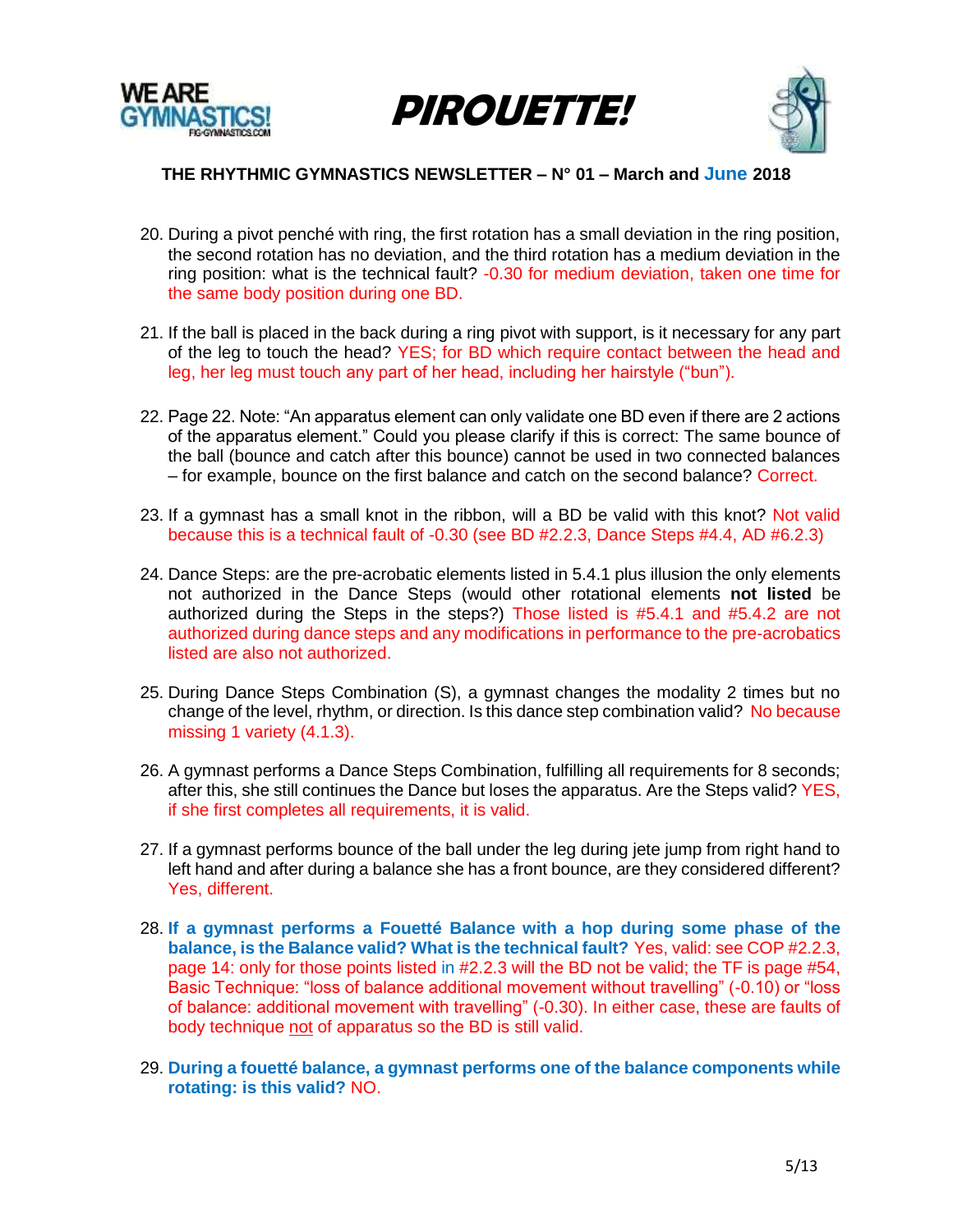





- 20. During a pivot penché with ring, the first rotation has a small deviation in the ring position, the second rotation has no deviation, and the third rotation has a medium deviation in the ring position: what is the technical fault? -0.30 for medium deviation, taken one time for the same body position during one BD.
- 21. If the ball is placed in the back during a ring pivot with support, is it necessary for any part of the leg to touch the head? YES; for BD which require contact between the head and leg, her leg must touch any part of her head, including her hairstyle ("bun").
- 22. Page 22. Note: "An apparatus element can only validate one BD even if there are 2 actions of the apparatus element." Could you please clarify if this is correct: The same bounce of the ball (bounce and catch after this bounce) cannot be used in two connected balances – for example, bounce on the first balance and catch on the second balance? Correct.
- 23. If a gymnast has a small knot in the ribbon, will a BD be valid with this knot? Not valid because this is a technical fault of -0.30 (see BD #2.2.3, Dance Steps #4.4, AD #6.2.3)
- 24. Dance Steps: are the pre-acrobatic elements listed in 5.4.1 plus illusion the only elements not authorized in the Dance Steps (would other rotational elements **not listed** be authorized during the Steps in the steps?) Those listed is #5.4.1 and #5.4.2 are not authorized during dance steps and any modifications in performance to the pre-acrobatics listed are also not authorized.
- 25. During Dance Steps Combination (S), a gymnast changes the modality 2 times but no change of the level, rhythm, or direction. Is this dance step combination valid? No because missing 1 variety (4.1.3).
- 26. A gymnast performs a Dance Steps Combination, fulfilling all requirements for 8 seconds; after this, she still continues the Dance but loses the apparatus. Are the Steps valid? YES, if she first completes all requirements, it is valid.
- 27. If a gymnast performs bounce of the ball under the leg during jete jump from right hand to left hand and after during a balance she has a front bounce, are they considered different? Yes, different.
- 28. **If a gymnast performs a Fouetté Balance with a hop during some phase of the balance, is the Balance valid? What is the technical fault?** Yes, valid: see COP #2.2.3, page 14: only for those points listed in #2.2.3 will the BD not be valid; the TF is page #54, Basic Technique: "loss of balance additional movement without travelling" (-0.10) or "loss of balance: additional movement with travelling" (-0.30). In either case, these are faults of body technique not of apparatus so the BD is still valid.
- 29. **During a fouetté balance, a gymnast performs one of the balance components while rotating: is this valid?** NO.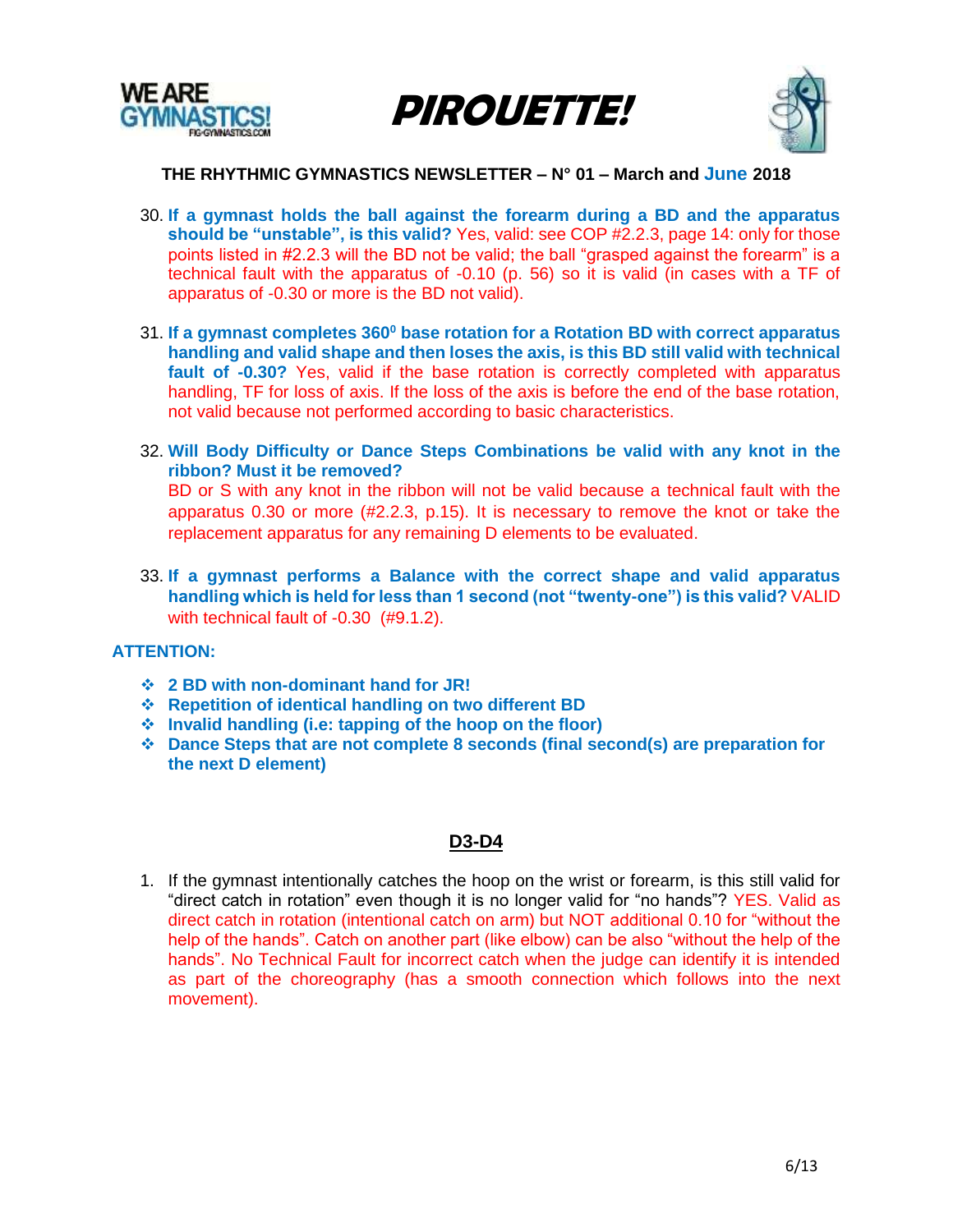





- 30. **If a gymnast holds the ball against the forearm during a BD and the apparatus should be "unstable", is this valid?** Yes, valid: see COP #2.2.3, page 14: only for those points listed in #2.2.3 will the BD not be valid; the ball "grasped against the forearm" is a technical fault with the apparatus of -0.10 (p. 56) so it is valid (in cases with a TF of apparatus of -0.30 or more is the BD not valid).
- 31. **If a gymnast completes 360<sup>0</sup> base rotation for a Rotation BD with correct apparatus handling and valid shape and then loses the axis, is this BD still valid with technical fault of -0.30?** Yes, valid if the base rotation is correctly completed with apparatus handling, TF for loss of axis. If the loss of the axis is before the end of the base rotation, not valid because not performed according to basic characteristics.
- 32. **Will Body Difficulty or Dance Steps Combinations be valid with any knot in the ribbon? Must it be removed?**

BD or S with any knot in the ribbon will not be valid because a technical fault with the apparatus 0.30 or more (#2.2.3, p.15). It is necessary to remove the knot or take the replacement apparatus for any remaining D elements to be evaluated.

33. **If a gymnast performs a Balance with the correct shape and valid apparatus handling which is held for less than 1 second (not "twenty-one") is this valid?** VALID with technical fault of -0.30 (#9.1.2).

#### **ATTENTION:**

- ❖ **2 BD with non-dominant hand for JR!**
- ❖ **Repetition of identical handling on two different BD**
- ❖ **Invalid handling (i.e: tapping of the hoop on the floor)**
- ❖ **Dance Steps that are not complete 8 seconds (final second(s) are preparation for the next D element)**

#### **D3-D4**

1. If the gymnast intentionally catches the hoop on the wrist or forearm, is this still valid for "direct catch in rotation" even though it is no longer valid for "no hands"? YES. Valid as direct catch in rotation (intentional catch on arm) but NOT additional 0.10 for "without the help of the hands". Catch on another part (like elbow) can be also "without the help of the hands". No Technical Fault for incorrect catch when the judge can identify it is intended as part of the choreography (has a smooth connection which follows into the next movement).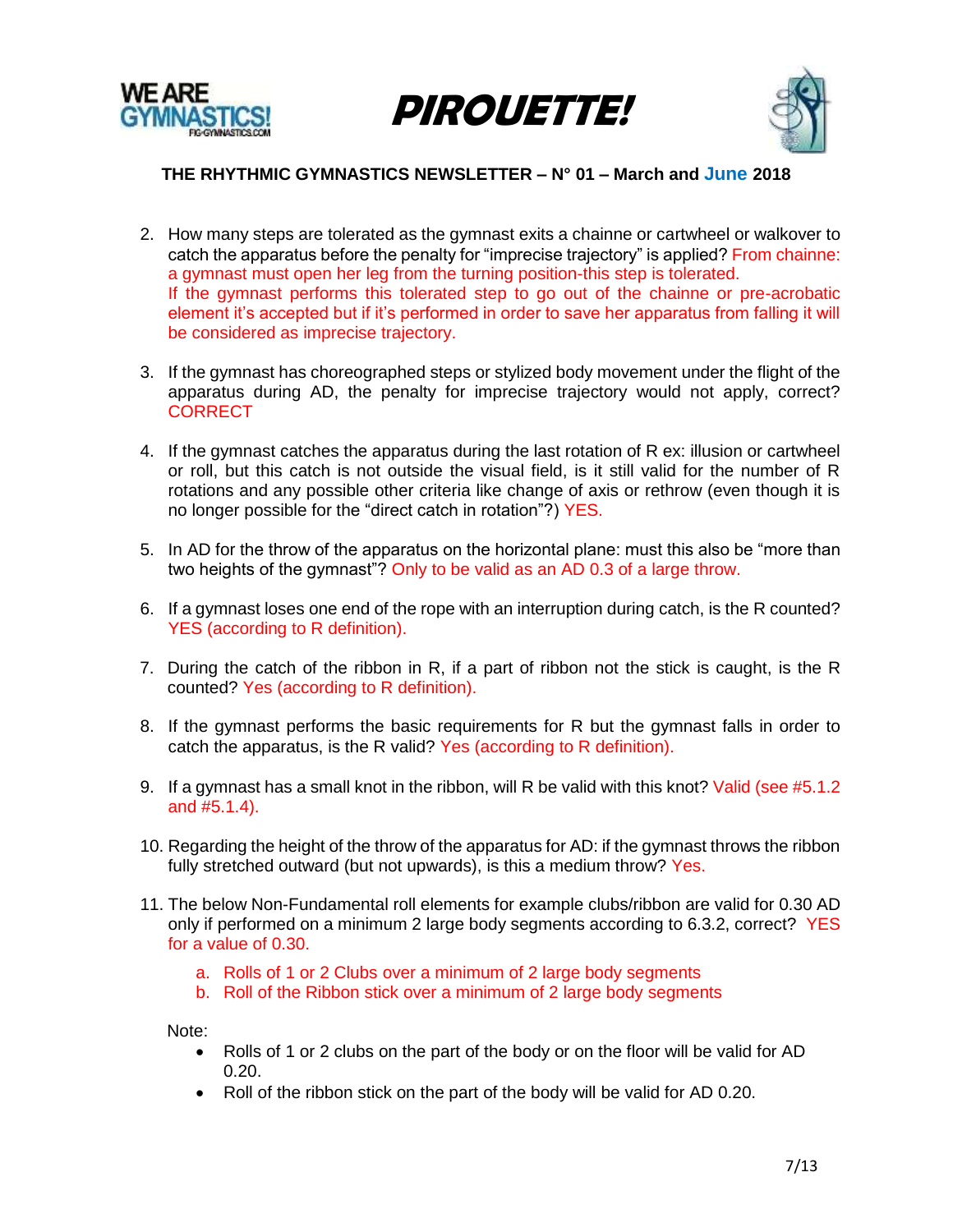





- 2. How many steps are tolerated as the gymnast exits a chainne or cartwheel or walkover to catch the apparatus before the penalty for "imprecise trajectory" is applied? From chainne: a gymnast must open her leg from the turning position-this step is tolerated. If the gymnast performs this tolerated step to go out of the chainne or pre-acrobatic element it's accepted but if it's performed in order to save her apparatus from falling it will be considered as imprecise trajectory.
- 3. If the gymnast has choreographed steps or stylized body movement under the flight of the apparatus during AD, the penalty for imprecise trajectory would not apply, correct? **CORRECT**
- 4. If the gymnast catches the apparatus during the last rotation of R ex: illusion or cartwheel or roll, but this catch is not outside the visual field, is it still valid for the number of R rotations and any possible other criteria like change of axis or rethrow (even though it is no longer possible for the "direct catch in rotation"?) YES.
- 5. In AD for the throw of the apparatus on the horizontal plane: must this also be "more than two heights of the gymnast"? Only to be valid as an AD 0.3 of a large throw.
- 6. If a gymnast loses one end of the rope with an interruption during catch, is the R counted? YES (according to R definition).
- 7. During the catch of the ribbon in R, if a part of ribbon not the stick is caught, is the R counted? Yes (according to R definition).
- 8. If the gymnast performs the basic requirements for R but the gymnast falls in order to catch the apparatus, is the R valid? Yes (according to R definition).
- 9. If a gymnast has a small knot in the ribbon, will R be valid with this knot? Valid (see #5.1.2) and #5.1.4).
- 10. Regarding the height of the throw of the apparatus for AD: if the gymnast throws the ribbon fully stretched outward (but not upwards), is this a medium throw? Yes.
- 11. The below Non-Fundamental roll elements for example clubs/ribbon are valid for 0.30 AD only if performed on a minimum 2 large body segments according to 6.3.2, correct? YES for a value of 0.30.
	- a. Rolls of 1 or 2 Clubs over a minimum of 2 large body segments
	- b. Roll of the Ribbon stick over a minimum of 2 large body segments

Note:

- Rolls of 1 or 2 clubs on the part of the body or on the floor will be valid for AD 0.20.
- Roll of the ribbon stick on the part of the body will be valid for AD 0.20.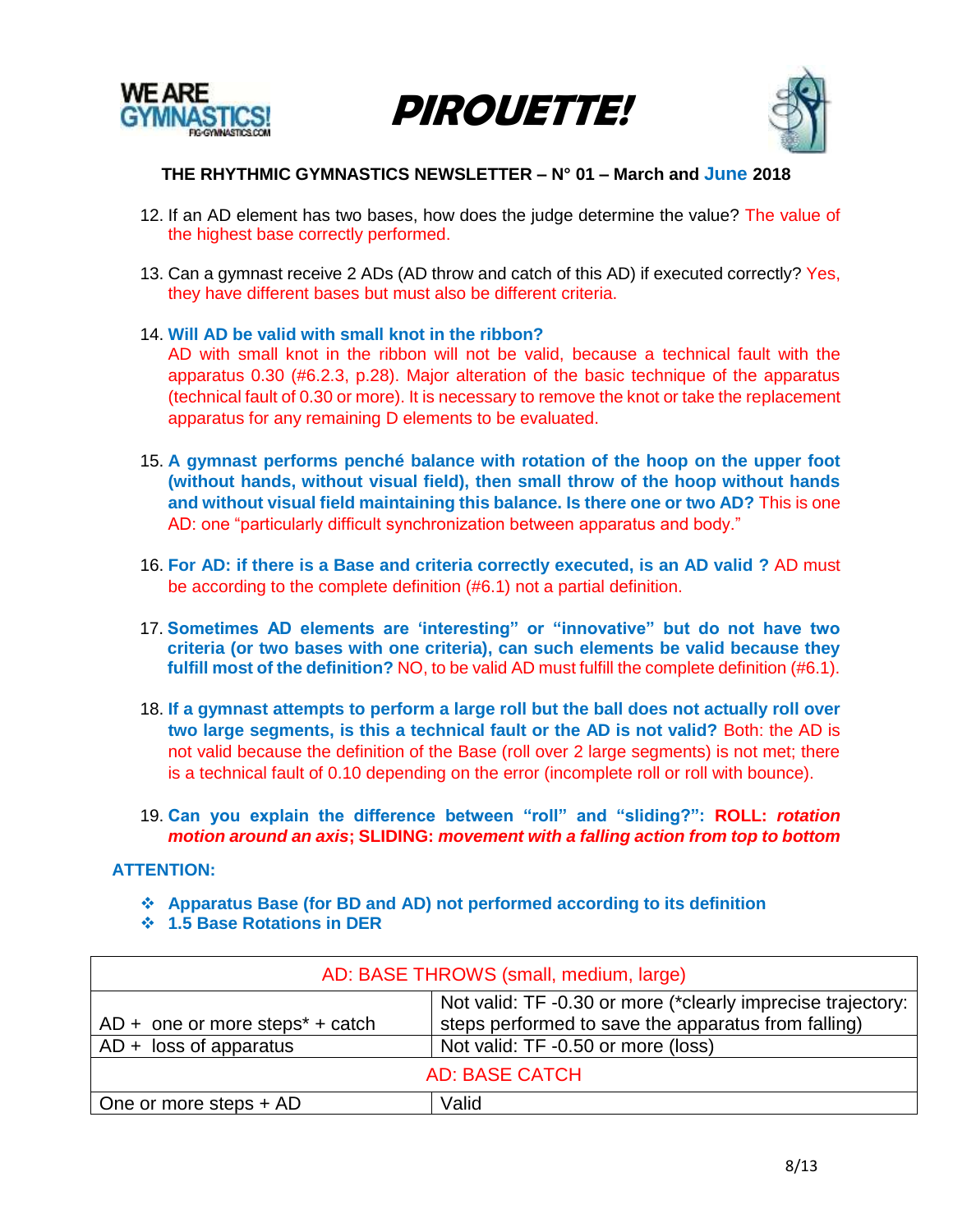





- 12. If an AD element has two bases, how does the judge determine the value? The value of the highest base correctly performed.
- 13. Can a gymnast receive 2 ADs (AD throw and catch of this AD) if executed correctly? Yes, they have different bases but must also be different criteria.
- 14. **Will AD be valid with small knot in the ribbon?**  AD with small knot in the ribbon will not be valid, because a technical fault with the apparatus 0.30 (#6.2.3, p.28). Major alteration of the basic technique of the apparatus (technical fault of 0.30 or more). It is necessary to remove the knot or take the replacement apparatus for any remaining D elements to be evaluated.
- 15. **A gymnast performs penché balance with rotation of the hoop on the upper foot (without hands, without visual field), then small throw of the hoop without hands and without visual field maintaining this balance. Is there one or two AD?** This is one AD: one "particularly difficult synchronization between apparatus and body."
- 16. **For AD: if there is a Base and criteria correctly executed, is an AD valid ?** AD must be according to the complete definition (#6.1) not a partial definition.
- 17. **Sometimes AD elements are 'interesting" or "innovative" but do not have two criteria (or two bases with one criteria), can such elements be valid because they fulfill most of the definition?** NO, to be valid AD must fulfill the complete definition (#6.1).
- 18. **If a gymnast attempts to perform a large roll but the ball does not actually roll over two large segments, is this a technical fault or the AD is not valid?** Both: the AD is not valid because the definition of the Base (roll over 2 large segments) is not met; there is a technical fault of 0.10 depending on the error (incomplete roll or roll with bounce).
- 19. **Can you explain the difference between "roll" and "sliding?": ROLL:** *rotation motion around an axis***; SLIDING:** *movement with a falling action from top to bottom*

#### **ATTENTION:**

- ❖ **Apparatus Base (for BD and AD) not performed according to its definition**
- ❖ **1.5 Base Rotations in DER**

| AD: BASE THROWS (small, medium, large)        |                                                                                                                    |  |  |
|-----------------------------------------------|--------------------------------------------------------------------------------------------------------------------|--|--|
| $AD + one$ or more steps <sup>*</sup> + catch | Not valid: TF -0.30 or more (*clearly imprecise trajectory:<br>steps performed to save the apparatus from falling) |  |  |
| $AD + loss of apparatus$                      | Not valid: TF -0.50 or more (loss)                                                                                 |  |  |
| <b>AD: BASE CATCH</b>                         |                                                                                                                    |  |  |
| One or more steps + AD                        | Valid                                                                                                              |  |  |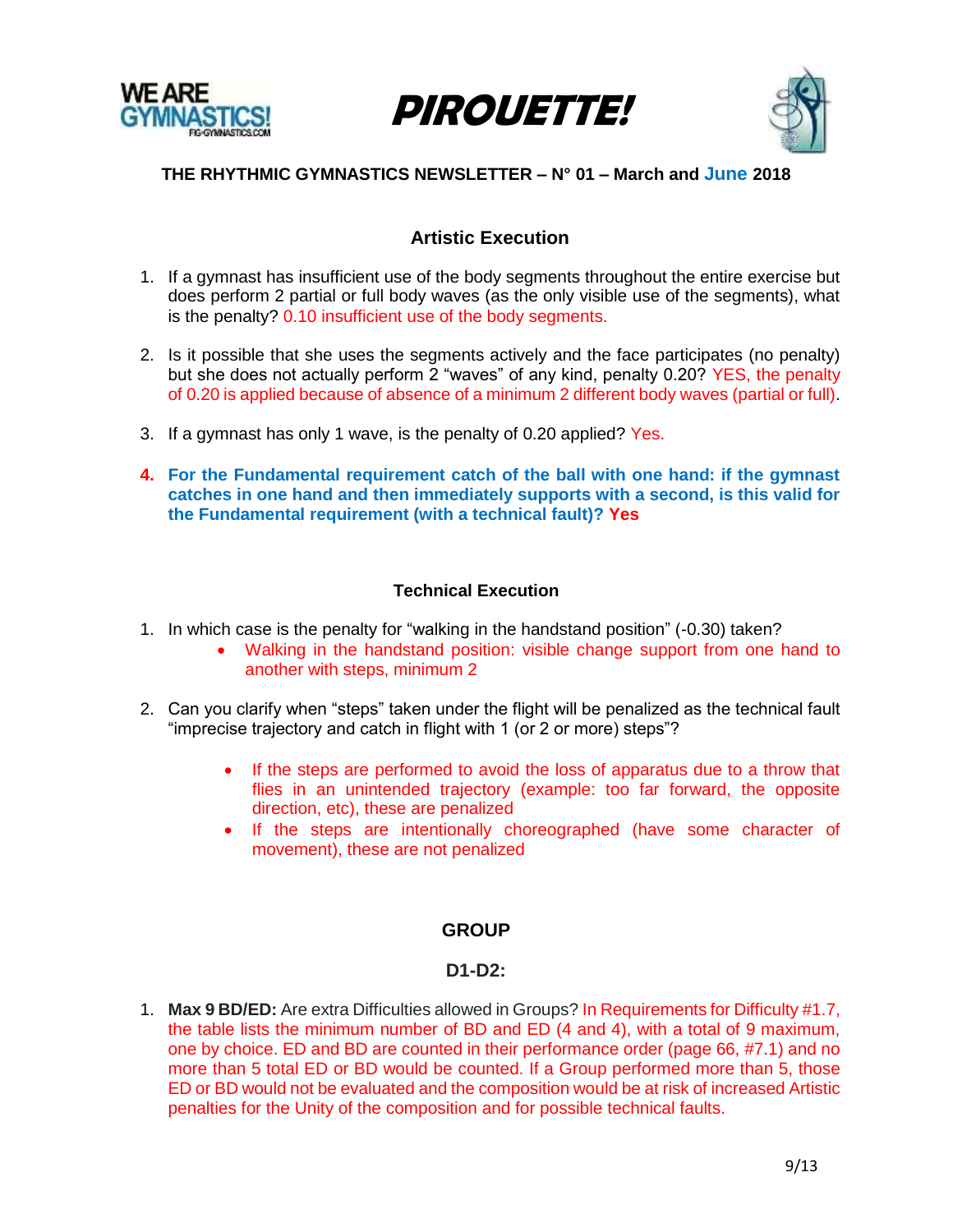





# **Artistic Execution**

- 1. If a gymnast has insufficient use of the body segments throughout the entire exercise but does perform 2 partial or full body waves (as the only visible use of the segments), what is the penalty? 0.10 insufficient use of the body segments.
- 2. Is it possible that she uses the segments actively and the face participates (no penalty) but she does not actually perform 2 "waves" of any kind, penalty 0.20? YES, the penalty of 0.20 is applied because of absence of a minimum 2 different body waves (partial or full).
- 3. If a gymnast has only 1 wave, is the penalty of 0.20 applied? Yes.
- **4. For the Fundamental requirement catch of the ball with one hand: if the gymnast catches in one hand and then immediately supports with a second, is this valid for the Fundamental requirement (with a technical fault)? Yes**

## **Technical Execution**

- 1. In which case is the penalty for "walking in the handstand position" (-0.30) taken?
	- Walking in the handstand position: visible change support from one hand to another with steps, minimum 2
- 2. Can you clarify when "steps" taken under the flight will be penalized as the technical fault "imprecise trajectory and catch in flight with 1 (or 2 or more) steps"?
	- If the steps are performed to avoid the loss of apparatus due to a throw that flies in an unintended trajectory (example: too far forward, the opposite direction, etc), these are penalized
	- If the steps are intentionally choreographed (have some character of movement), these are not penalized

## **GROUP**

## **D1-D2:**

1. **Max 9 BD/ED:** Are extra Difficulties allowed in Groups? In Requirements for Difficulty #1.7, the table lists the minimum number of BD and ED (4 and 4), with a total of 9 maximum, one by choice. ED and BD are counted in their performance order (page 66, #7.1) and no more than 5 total ED or BD would be counted. If a Group performed more than 5, those ED or BD would not be evaluated and the composition would be at risk of increased Artistic penalties for the Unity of the composition and for possible technical faults.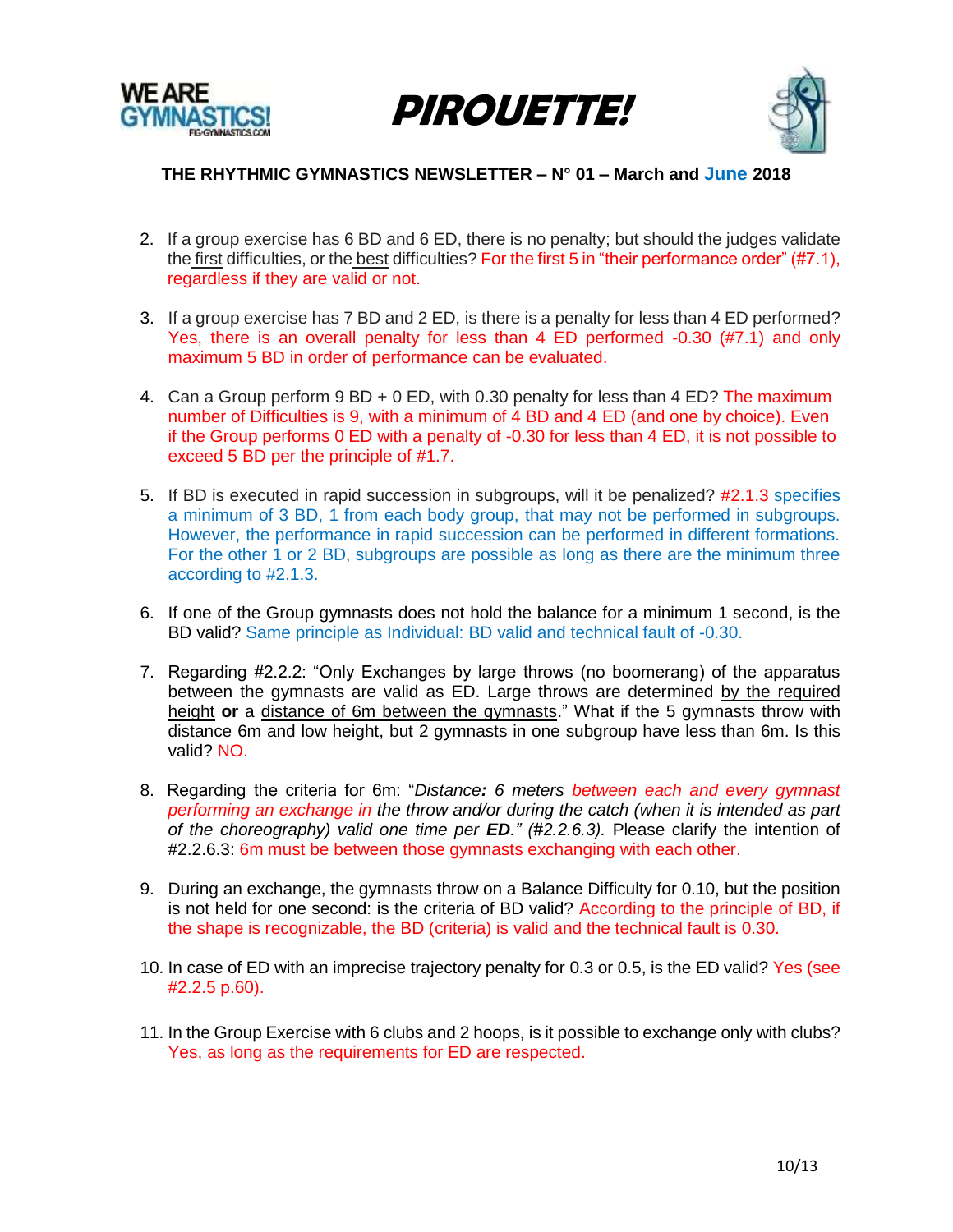





- 2. If a group exercise has 6 BD and 6 ED, there is no penalty; but should the judges validate the first difficulties, or the best difficulties? For the first 5 in "their performance order" (#7.1), regardless if they are valid or not.
- 3. If a group exercise has 7 BD and 2 ED, is there is a penalty for less than 4 ED performed? Yes, there is an overall penalty for less than 4 ED performed -0.30 (#7.1) and only maximum 5 BD in order of performance can be evaluated.
- 4. Can a Group perform 9 BD + 0 ED, with 0.30 penalty for less than 4 ED? The maximum number of Difficulties is 9, with a minimum of 4 BD and 4 ED (and one by choice). Even if the Group performs 0 ED with a penalty of -0.30 for less than 4 ED, it is not possible to exceed 5 BD per the principle of #1.7.
- 5. If BD is executed in rapid succession in subgroups, will it be penalized? #2.1.3 specifies a minimum of 3 BD, 1 from each body group, that may not be performed in subgroups. However, the performance in rapid succession can be performed in different formations. For the other 1 or 2 BD, subgroups are possible as long as there are the minimum three according to #2.1.3.
- 6. If one of the Group gymnasts does not hold the balance for a minimum 1 second, is the BD valid? Same principle as Individual: BD valid and technical fault of -0.30.
- 7. Regarding #2.2.2: "Only Exchanges by large throws (no boomerang) of the apparatus between the gymnasts are valid as ED. Large throws are determined by the required height **or** a distance of 6m between the gymnasts." What if the 5 gymnasts throw with distance 6m and low height, but 2 gymnasts in one subgroup have less than 6m. Is this valid? NO.
- 8. Regarding the criteria for 6m: "*Distance: 6 meters between each and every gymnast performing an exchange in the throw and/or during the catch (when it is intended as part of the choreography) valid one time per ED." (#2.2.6.3).* Please clarify the intention of #2.2.6.3: 6m must be between those gymnasts exchanging with each other.
- 9. During an exchange, the gymnasts throw on a Balance Difficulty for 0.10, but the position is not held for one second: is the criteria of BD valid? According to the principle of BD, if the shape is recognizable, the BD (criteria) is valid and the technical fault is 0.30.
- 10. In case of ED with an imprecise trajectory penalty for 0.3 or 0.5, is the ED valid? Yes (see #2.2.5 p.60).
- 11. In the Group Exercise with 6 clubs and 2 hoops, is it possible to exchange only with clubs? Yes, as long as the requirements for ED are respected.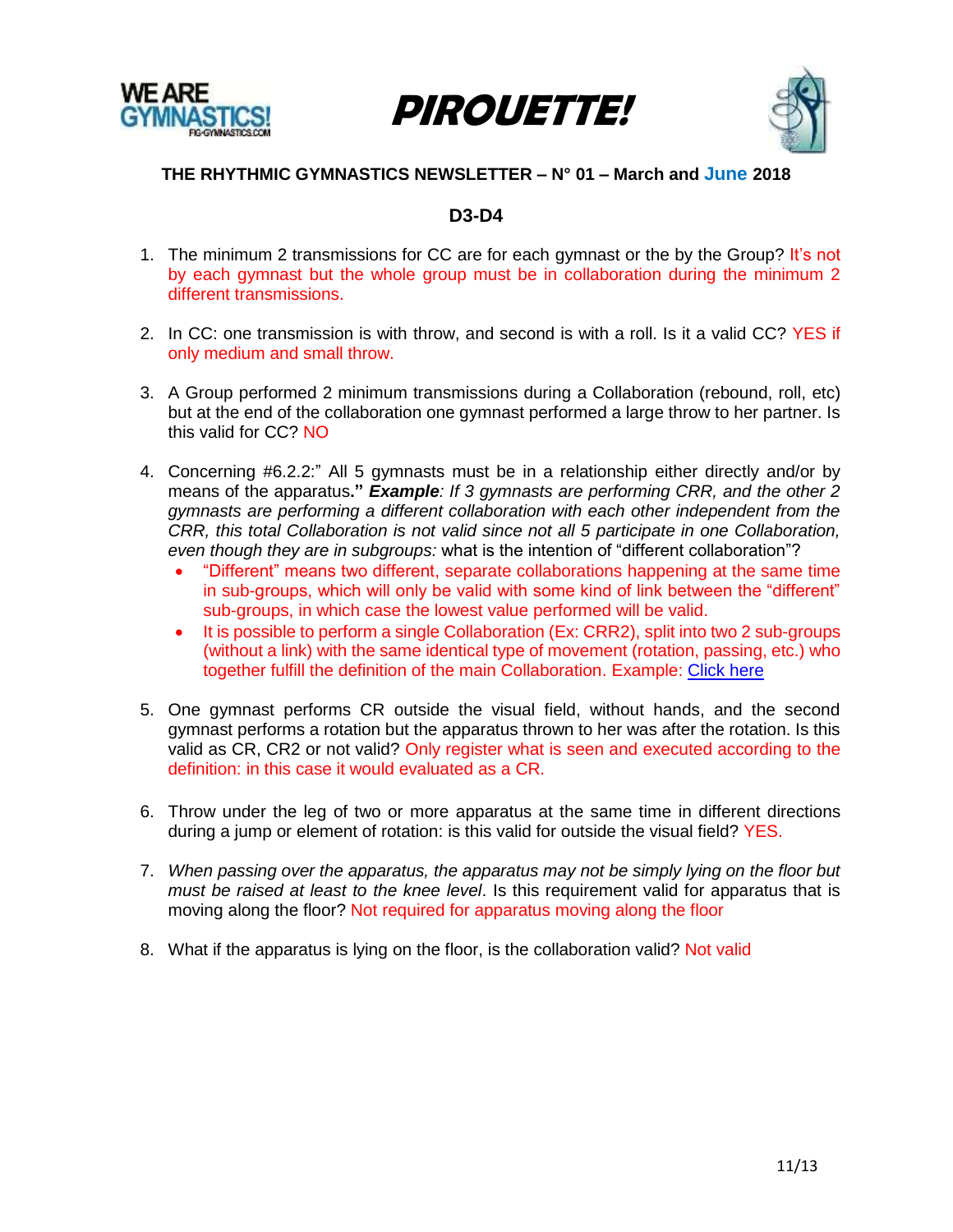





## **D3-D4**

- 1. The minimum 2 transmissions for CC are for each gymnast or the by the Group? It's not by each gymnast but the whole group must be in collaboration during the minimum 2 different transmissions.
- 2. In CC: one transmission is with throw, and second is with a roll. Is it a valid CC? YES if only medium and small throw.
- 3. A Group performed 2 minimum transmissions during a Collaboration (rebound, roll, etc) but at the end of the collaboration one gymnast performed a large throw to her partner. Is this valid for CC? NO
- 4. Concerning #6.2.2:" All 5 gymnasts must be in a relationship either directly and/or by means of the apparatus**."** *Example: If 3 gymnasts are performing CRR, and the other 2 gymnasts are performing a different collaboration with each other independent from the CRR, this total Collaboration is not valid since not all 5 participate in one Collaboration, even though they are in subgroups:* what is the intention of "different collaboration"?
	- "Different" means two different, separate collaborations happening at the same time in sub-groups, which will only be valid with some kind of link between the "different" sub-groups, in which case the lowest value performed will be valid.
	- It is possible to perform a single Collaboration (Ex: CRR2), split into two 2 sub-groups (without a link) with the same identical type of movement (rotation, passing, etc.) who together fulfill the definition of the main Collaboration. Example: [Click](https://www.youtube.com/watch?v=hRTPPf4xpk4&feature=youtu.be) here
- 5. One gymnast performs CR outside the visual field, without hands, and the second gymnast performs a rotation but the apparatus thrown to her was after the rotation. Is this valid as CR, CR2 or not valid? Only register what is seen and executed according to the definition: in this case it would evaluated as a CR.
- 6. Throw under the leg of two or more apparatus at the same time in different directions during a jump or element of rotation: is this valid for outside the visual field? YES.
- 7. *When passing over the apparatus, the apparatus may not be simply lying on the floor but must be raised at least to the knee level*. Is this requirement valid for apparatus that is moving along the floor? Not required for apparatus moving along the floor
- 8. What if the apparatus is lying on the floor, is the collaboration valid? Not valid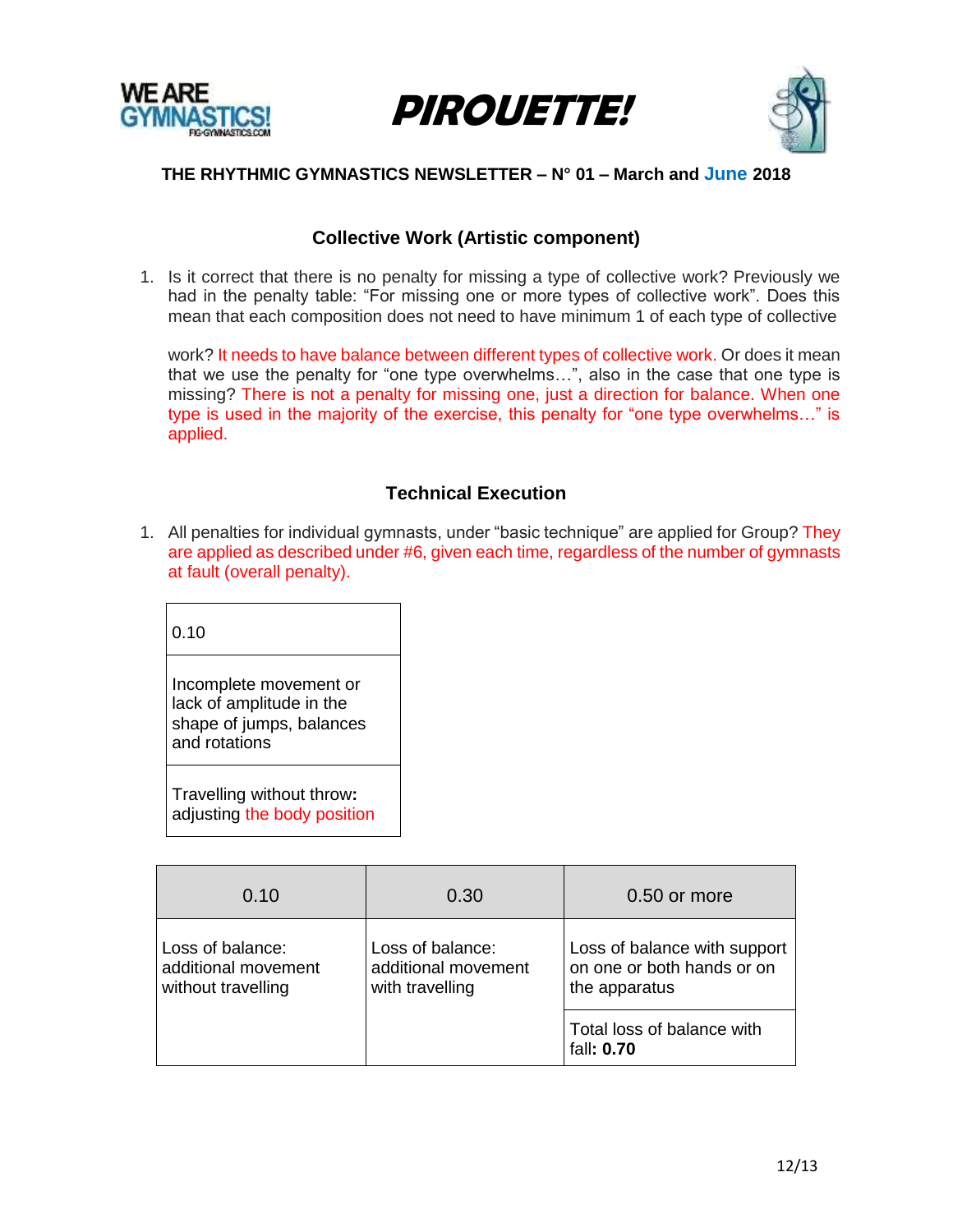





# **Collective Work (Artistic component)**

1. Is it correct that there is no penalty for missing a type of collective work? Previously we had in the penalty table: "For missing one or more types of collective work". Does this mean that each composition does not need to have minimum 1 of each type of collective

work? It needs to have balance between different types of collective work. Or does it mean that we use the penalty for "one type overwhelms…", also in the case that one type is missing? There is not a penalty for missing one, just a direction for balance. When one type is used in the majority of the exercise, this penalty for "one type overwhelms…" is applied.

# **Technical Execution**

1. All penalties for individual gymnasts, under "basic technique" are applied for Group? They are applied as described under #6, given each time, regardless of the number of gymnasts at fault (overall penalty).

0.10

Incomplete movement or lack of amplitude in the shape of jumps, balances and rotations

Travelling without throw**:**  adjusting the body position

| 0.10                                                          | 0.30                                                       | 0.50 or more                                                                |
|---------------------------------------------------------------|------------------------------------------------------------|-----------------------------------------------------------------------------|
| Loss of balance:<br>additional movement<br>without travelling | Loss of balance:<br>additional movement<br>with travelling | Loss of balance with support<br>on one or both hands or on<br>the apparatus |
|                                                               |                                                            | Total loss of balance with<br>fall: 0.70                                    |